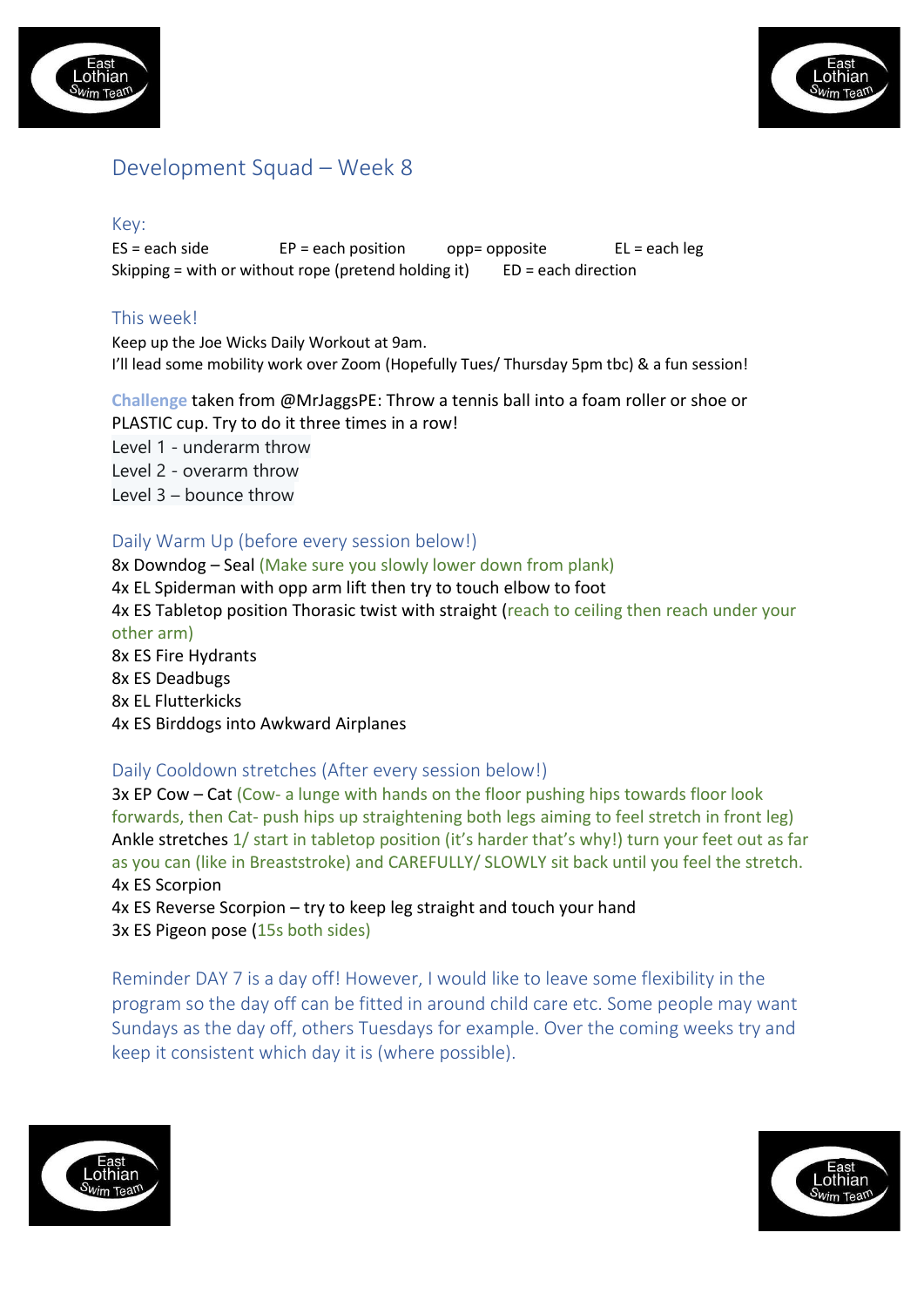



# Development Squad – Week 8

#### Key:

 $ES = each side$  EP = each position opp= opposite EL = each leg Skipping = with or without rope (pretend holding it)  $ED = each direction$ 

## This week!

Keep up the Joe Wicks Daily Workout at 9am. I'll lead some mobility work over Zoom (Hopefully Tues/ Thursday 5pm tbc) & a fun session!

**Challenge** taken from @MrJaggsPE: Throw a tennis ball into a foam roller or shoe or PLASTIC cup. Try to do it three times in a row! Level 1 - underarm throw Level 2 - overarm throw Level 3 – bounce throw

### Daily Warm Up (before every session below!)

8x Downdog – Seal (Make sure you slowly lower down from plank) 4x EL Spiderman with opp arm lift then try to touch elbow to foot 4x ES Tabletop position Thorasic twist with straight (reach to ceiling then reach under your other arm) 8x ES Fire Hydrants 8x ES Deadbugs 8x EL Flutterkicks 4x ES Birddogs into Awkward Airplanes

#### Daily Cooldown stretches (After every session below!)

3x EP Cow – Cat (Cow- a lunge with hands on the floor pushing hips towards floor look forwards, then Cat- push hips up straightening both legs aiming to feel stretch in front leg) Ankle stretches 1/ start in tabletop position (it's harder that's why!) turn your feet out as far as you can (like in Breaststroke) and CAREFULLY/ SLOWLY sit back until you feel the stretch. 4x ES Scorpion

4x ES Reverse Scorpion – try to keep leg straight and touch your hand 3x ES Pigeon pose (15s both sides)

Reminder DAY 7 is a day off! However, I would like to leave some flexibility in the program so the day off can be fitted in around child care etc. Some people may want Sundays as the day off, others Tuesdays for example. Over the coming weeks try and keep it consistent which day it is (where possible).



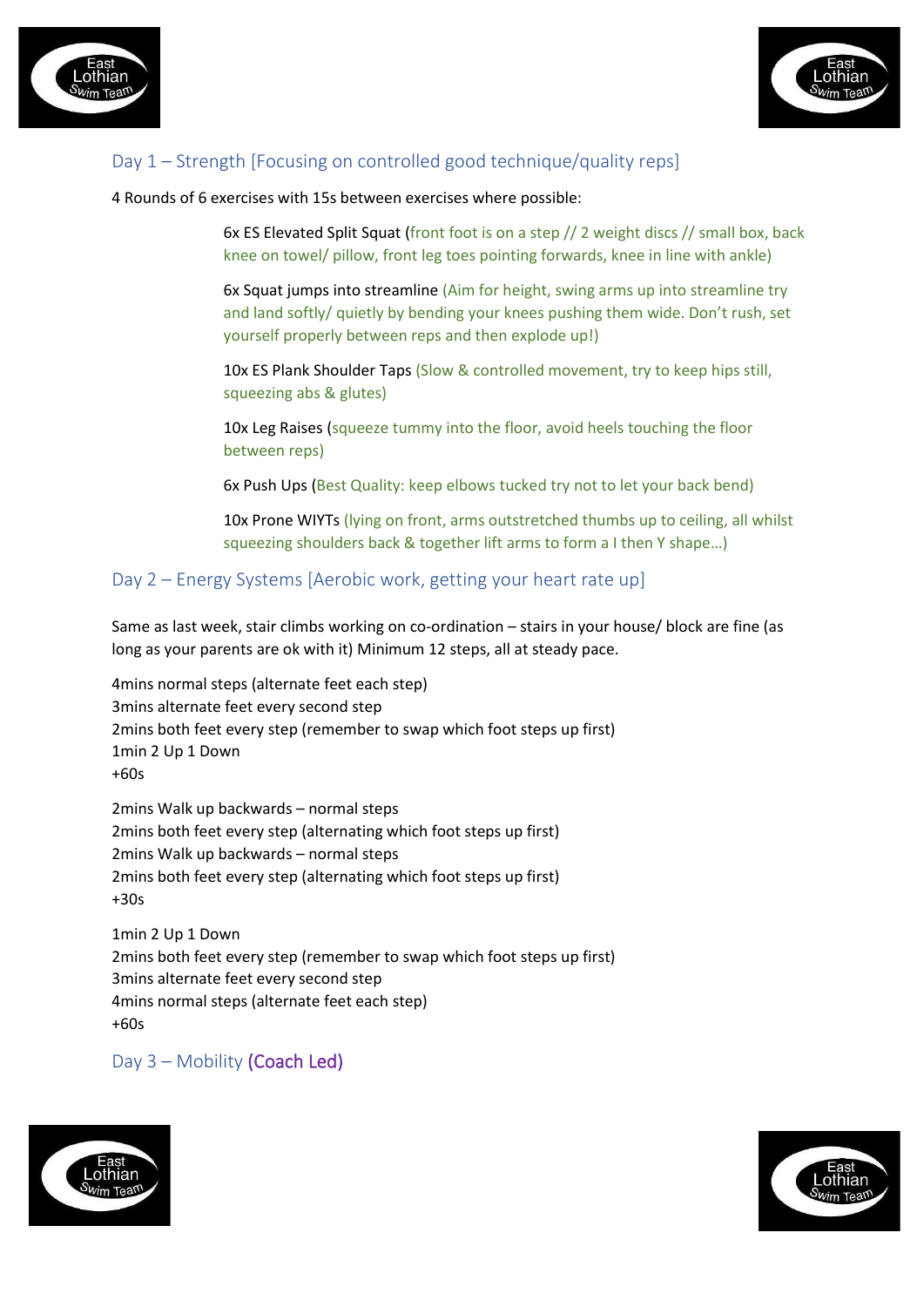



## Day 1 – Strength [Focusing on controlled good technique/quality reps]

4 Rounds of 6 exercises with 15s between exercises where possible:

6x ES Elevated Split Squat (front foot is on a step // 2 weight discs // small box, back knee on towel/ pillow, front leg toes pointing forwards, knee in line with ankle)

6x Squat jumps into streamline (Aim for height, swing arms up into streamline try and land softly/ quietly by bending your knees pushing them wide. Don't rush, set yourself properly between reps and then explode up!)

10x ES Plank Shoulder Taps (Slow & controlled movement, try to keep hips still, squeezing abs & glutes)

10x Leg Raises (squeeze tummy into the floor, avoid heels touching the floor between reps)

6x Push Ups (Best Quality: keep elbows tucked try not to let your back bend)

10x Prone WIYTs (lying on front, arms outstretched thumbs up to ceiling, all whilst squeezing shoulders back & together lift arms to form a I then Y shape…)

### Day 2 – Energy Systems [Aerobic work, getting your heart rate up]

Same as last week, stair climbs working on co-ordination – stairs in your house/ block are fine (as long as your parents are ok with it) Minimum 12 steps, all at steady pace.

4mins normal steps (alternate feet each step) 3mins alternate feet every second step 2mins both feet every step (remember to swap which foot steps up first) 1min 2 Up 1 Down +60s

2mins Walk up backwards – normal steps 2mins both feet every step (alternating which foot steps up first) 2mins Walk up backwards – normal steps 2mins both feet every step (alternating which foot steps up first) +30s

1min 2 Up 1 Down 2mins both feet every step (remember to swap which foot steps up first) 3mins alternate feet every second step 4mins normal steps (alternate feet each step) +60s

Day 3 – Mobility (Coach Led)